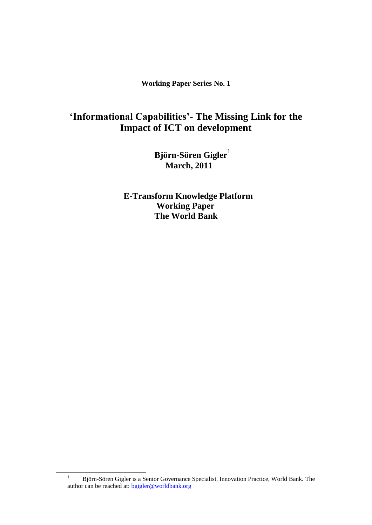**Working Paper Series No. 1**

# **'Informational Capabilities'- The Missing Link for the Impact of ICT on development**

 **Björn-Sören Gigler**<sup>1</sup>  **March, 2011**

**E-Transform Knowledge Platform Working Paper The World Bank** 

l

<sup>1</sup> Björn-Sören Gigler is a Senior Governance Specialist, Innovation Practice, World Bank. The author can be reached at: [bgigler@worldbank.org](mailto:bgigler@worldbank.org)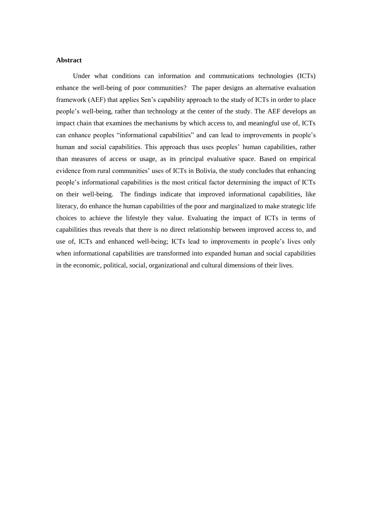### **Abstract**

Under what conditions can information and communications technologies (ICTs) enhance the well-being of poor communities? The paper designs an alternative evaluation framework (AEF) that applies Sen's capability approach to the study of ICTs in order to place people's well-being, rather than technology at the center of the study. The AEF develops an impact chain that examines the mechanisms by which access to, and meaningful use of, ICTs can enhance peoples "informational capabilities" and can lead to improvements in people's human and social capabilities. This approach thus uses peoples' human capabilities, rather than measures of access or usage, as its principal evaluative space. Based on empirical evidence from rural communities' uses of ICTs in Bolivia, the study concludes that enhancing people's informational capabilities is the most critical factor determining the impact of ICTs on their well-being. The findings indicate that improved informational capabilities, like literacy, do enhance the human capabilities of the poor and marginalized to make strategic life choices to achieve the lifestyle they value. Evaluating the impact of ICTs in terms of capabilities thus reveals that there is no direct relationship between improved access to, and use of, ICTs and enhanced well-being; ICTs lead to improvements in people's lives only when informational capabilities are transformed into expanded human and social capabilities in the economic, political, social, organizational and cultural dimensions of their lives.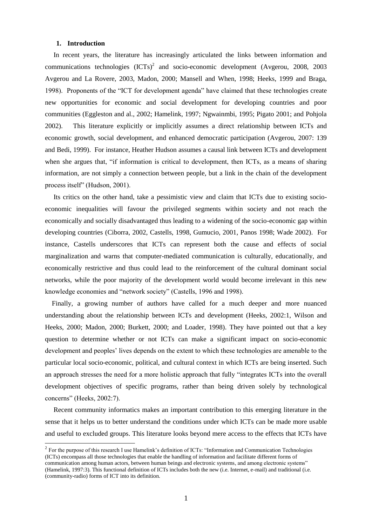### **1. Introduction**

-

 In recent years, the literature has increasingly articulated the links between information and communications technologies  $(ICTs)^2$  and socio-economic development (Avgerou, 2008, 2003 Avgerou and La Rovere, 2003, Madon, 2000; Mansell and When, 1998; Heeks, 1999 and Braga, 1998). Proponents of the "ICT for development agenda" have claimed that these technologies create new opportunities for economic and social development for developing countries and poor communities (Eggleston and al., 2002; Hamelink, 1997; Ngwainmbi, 1995; Pigato 2001; and Pohjola 2002). This literature explicitly or implicitly assumes a direct relationship between ICTs and economic growth, social development, and enhanced democratic participation (Avgerou, 2007: 139 and Bedi, 1999). For instance, Heather Hudson assumes a causal link between ICTs and development when she argues that, "if information is critical to development, then ICTs, as a means of sharing information, are not simply a connection between people, but a link in the chain of the development process itself" (Hudson, 2001).

 Its critics on the other hand, take a pessimistic view and claim that ICTs due to existing socioeconomic inequalities will favour the privileged segments within society and not reach the economically and socially disadvantaged thus leading to a widening of the socio-economic gap within developing countries (Ciborra, 2002, Castells, 1998, Gumucio, 2001, Panos 1998; Wade 2002). For instance, Castells underscores that ICTs can represent both the cause and effects of social marginalization and warns that computer-mediated communication is culturally, educationally, and economically restrictive and thus could lead to the reinforcement of the cultural dominant social networks, while the poor majority of the development world would become irrelevant in this new knowledge economies and "network society" (Castells, 1996 and 1998).

 Finally, a growing number of authors have called for a much deeper and more nuanced understanding about the relationship between ICTs and development (Heeks, 2002:1, Wilson and Heeks, 2000; Madon, 2000; Burkett, 2000; and Loader, 1998). They have pointed out that a key question to determine whether or not ICTs can make a significant impact on socio-economic development and peoples' lives depends on the extent to which these technologies are amenable to the particular local socio-economic, political, and cultural context in which ICTs are being inserted. Such an approach stresses the need for a more holistic approach that fully "integrates ICTs into the overall development objectives of specific programs, rather than being driven solely by technological concerns" (Heeks, 2002:7).

 Recent community informatics makes an important contribution to this emerging literature in the sense that it helps us to better understand the conditions under which ICTs can be made more usable and useful to excluded groups. This literature looks beyond mere access to the effects that ICTs have

 $2^2$  For the purpose of this research I use Hamelink's definition of ICTs: "Information and Communication Technologies (ICTs) encompass all those technologies that enable the handling of information and facilitate different forms of communication among human actors, between human beings and electronic systems, and among electronic systems" (Hamelink, 1997:3). This functional definition of ICTs includes both the new (i.e. Internet, e-mail) and traditional (i.e. (community-radio) forms of ICT into its definition.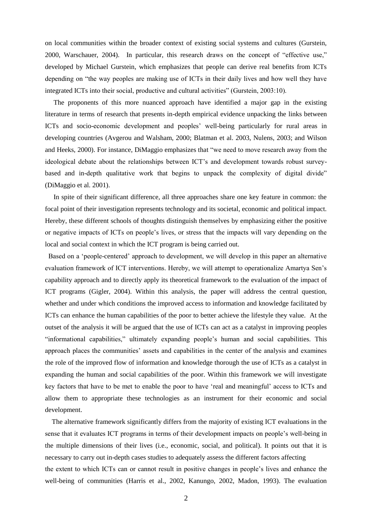on local communities within the broader context of existing social systems and cultures (Gurstein, 2000, Warschauer, 2004). In particular, this research draws on the concept of "effective use," developed by Michael Gurstein, which emphasizes that people can derive real benefits from ICTs depending on "the way peoples are making use of ICTs in their daily lives and how well they have integrated ICTs into their social, productive and cultural activities" (Gurstein, 2003:10).

 The proponents of this more nuanced approach have identified a major gap in the existing literature in terms of research that presents in-depth empirical evidence unpacking the links between ICTs and socio-economic development and peoples' well-being particularly for rural areas in developing countries (Avgerou and Walsham, 2000; Blatman et al. 2003, Nulens, 2003; and Wilson and Heeks, 2000). For instance, DiMaggio emphasizes that "we need to move research away from the ideological debate about the relationships between ICT's and development towards robust surveybased and in-depth qualitative work that begins to unpack the complexity of digital divide" (DiMaggio et al. 2001).

 In spite of their significant difference, all three approaches share one key feature in common: the focal point of their investigation represents technology and its societal, economic and political impact. Hereby, these different schools of thoughts distinguish themselves by emphasizing either the positive or negative impacts of ICTs on people's lives, or stress that the impacts will vary depending on the local and social context in which the ICT program is being carried out.

Based on a 'people-centered' approach to development, we will develop in this paper an alternative evaluation framework of ICT interventions. Hereby, we will attempt to operationalize Amartya Sen's capability approach and to directly apply its theoretical framework to the evaluation of the impact of ICT programs (Gigler, 2004). Within this analysis, the paper will address the central question, whether and under which conditions the improved access to information and knowledge facilitated by ICTs can enhance the human capabilities of the poor to better achieve the lifestyle they value. At the outset of the analysis it will be argued that the use of ICTs can act as a catalyst in improving peoples ―informational capabilities,‖ ultimately expanding people's human and social capabilities. This approach places the communities' assets and capabilities in the center of the analysis and examines the role of the improved flow of information and knowledge thorough the use of ICTs as a catalyst in expanding the human and social capabilities of the poor. Within this framework we will investigate key factors that have to be met to enable the poor to have ‗real and meaningful' access to ICTs and allow them to appropriate these technologies as an instrument for their economic and social development.

 The alternative framework significantly differs from the majority of existing ICT evaluations in the sense that it evaluates ICT programs in terms of their development impacts on people's well-being in the multiple dimensions of their lives (i.e., economic, social, and political). It points out that it is necessary to carry out in-depth cases studies to adequately assess the different factors affecting the extent to which ICTs can or cannot result in positive changes in people's lives and enhance the well-being of communities (Harris et al., 2002, Kanungo, 2002, Madon, 1993). The evaluation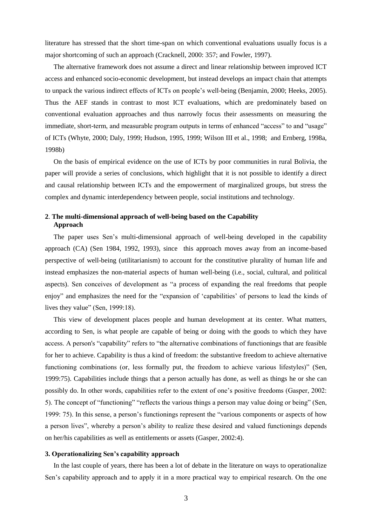literature has stressed that the short time-span on which conventional evaluations usually focus is a major shortcoming of such an approach (Cracknell, 2000: 357; and Fowler, 1997).

 The alternative framework does not assume a direct and linear relationship between improved ICT access and enhanced socio-economic development, but instead develops an impact chain that attempts to unpack the various indirect effects of ICTs on people's well-being (Benjamin, 2000; Heeks, 2005). Thus the AEF stands in contrast to most ICT evaluations, which are predominately based on conventional evaluation approaches and thus narrowly focus their assessments on measuring the immediate, short-term, and measurable program outputs in terms of enhanced "access" to and "usage" of ICTs (Whyte, 2000; Daly, 1999; Hudson, 1995, 1999; Wilson III et al., 1998; and Ernberg, 1998a, 1998b)

 On the basis of empirical evidence on the use of ICTs by poor communities in rural Bolivia, the paper will provide a series of conclusions, which highlight that it is not possible to identify a direct and causal relationship between ICTs and the empowerment of marginalized groups, but stress the complex and dynamic interdependency between people, social institutions and technology.

### **2**. **The multi-dimensional approach of well-being based on the Capability Approach**

 The paper uses Sen's multi-dimensional approach of well-being developed in the capability approach (CA) (Sen 1984, 1992, 1993), since this approach moves away from an income-based perspective of well-being (utilitarianism) to account for the constitutive plurality of human life and instead emphasizes the non-material aspects of human well-being (i.e., social, cultural, and political aspects). Sen conceives of development as "a process of expanding the real freedoms that people enjoy" and emphasizes the need for the "expansion of 'capabilities' of persons to lead the kinds of lives they value" (Sen, 1999:18).

 This view of development places people and human development at its center. What matters, according to Sen, is what people are capable of being or doing with the goods to which they have access. A person's "capability" refers to "the alternative combinations of functionings that are feasible for her to achieve. Capability is thus a kind of freedom: the substantive freedom to achieve alternative functioning combinations (or, less formally put, the freedom to achieve various lifestyles)" (Sen, 1999:75). Capabilities include things that a person actually has done, as well as things he or she can possibly do. In other words, capabilities refer to the extent of one's positive freedoms (Gasper, 2002: 5). The concept of "functioning" "reflects the various things a person may value doing or being" (Sen, 1999: 75). In this sense, a person's functionings represent the "various components or aspects of how a person lives", whereby a person's ability to realize these desired and valued functionings depends on her/his capabilities as well as entitlements or assets (Gasper, 2002:4).

### **3. Operationalizing Sen's capability approach**

 In the last couple of years, there has been a lot of debate in the literature on ways to operationalize Sen's capability approach and to apply it in a more practical way to empirical research. On the one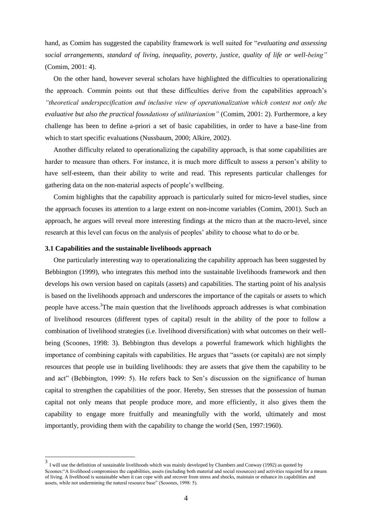hand, as Comim has suggested the capability framework is well suited for "*evaluating and assessing social arrangements, standard of living, inequality, poverty, justice, quality of life or well-being"* (Comim, 2001: 4).

 On the other hand, however several scholars have highlighted the difficulties to operationalizing the approach. Commin points out that these difficulties derive from the capabilities approach's *"theoretical underspecification and inclusive view of operationalization which contest not only the evaluative but also the practical foundations of utilitarianism"* (Comim, 2001: 2). Furthermore, a key challenge has been to define a-priori a set of basic capabilities, in order to have a base-line from which to start specific evaluations (Nussbaum, 2000; Alkire, 2002).

 Another difficulty related to operationalizing the capability approach, is that some capabilities are harder to measure than others. For instance, it is much more difficult to assess a person's ability to have self-esteem, than their ability to write and read. This represents particular challenges for gathering data on the non-material aspects of people's wellbeing.

 Comim highlights that the capability approach is particularly suited for micro-level studies, since the approach focuses its attention to a large extent on non-income variables (Comim, 2001). Such an approach, he argues will reveal more interesting findings at the micro than at the macro-level, since research at this level can focus on the analysis of peoples' ability to choose what to do or be.

### **3.1 Capabilities and the sustainable livelihoods approach**

One particularly interesting way to operationalizing the capability approach has been suggested by Bebbington (1999), who integrates this method into the sustainable livelihoods framework and then develops his own version based on capitals (assets) and capabilities. The starting point of his analysis is based on the livelihoods approach and underscores the importance of the capitals or assets to which people have access.<sup>3</sup>The main question that the livelihoods approach addresses is what combination of livelihood resources (different types of capital) result in the ability of the poor to follow a combination of livelihood strategies (i.e. livelihood diversification) with what outcomes on their wellbeing (Scoones, 1998: 3). Bebbington thus develops a powerful framework which highlights the importance of combining capitals with capabilities. He argues that "assets (or capitals) are not simply resources that people use in building livelihoods: they are assets that give them the capability to be and act" (Bebbington, 1999: 5). He refers back to Sen's discussion on the significance of human capital to strengthen the capabilities of the poor. Hereby, Sen stresses that the possession of human capital not only means that people produce more, and more efficiently, it also gives them the capability to engage more fruitfully and meaningfully with the world, ultimately and most importantly, providing them with the capability to change the world (Sen, 1997:1960).

<sup>&</sup>lt;sup>3</sup><br><sup>3</sup> I will use the definition of sustainable livelihoods which was mainly developed by Chambers and Conway (1992) as quoted by Scoones: "A livelihood compromises the capabilities, assets (including both material and social resources) and activities required for a means of living. A livelihood is sustainable when it can cope with and recover from stress and shocks, maintain or enhance its capabilities and assets, while not undermining the natural resource base" (Scoones, 1998: 5).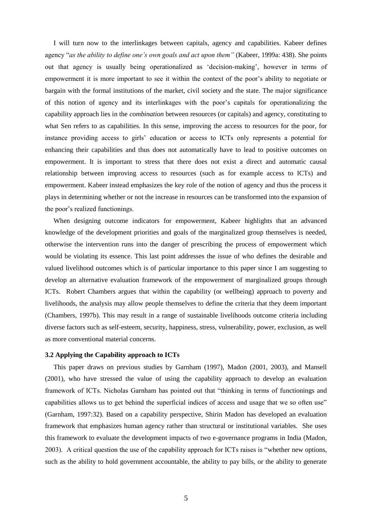I will turn now to the interlinkages between capitals, agency and capabilities. Kabeer defines agency "*as the ability to define one's own goals and act upon them"* (Kabeer, 1999a: 438). She points out that agency is usually being operationalized as ‗decision-making', however in terms of empowerment it is more important to see it within the context of the poor's ability to negotiate or bargain with the formal institutions of the market, civil society and the state. The major significance of this notion of agency and its interlinkages with the poor's capitals for operationalizing the capability approach lies in the *combination* between resources (or capitals) and agency, constituting to what Sen refers to as capabilities. In this sense, improving the access to resources for the poor, for instance providing access to girls' education or access to ICTs only represents a potential for enhancing their capabilities and thus does not automatically have to lead to positive outcomes on empowerment. It is important to stress that there does not exist a direct and automatic causal relationship between improving access to resources (such as for example access to ICTs) and empowerment. Kabeer instead emphasizes the key role of the notion of agency and thus the process it plays in determining whether or not the increase in resources can be transformed into the expansion of the poor's realized functionings.

 When designing outcome indicators for empowerment, Kabeer highlights that an advanced knowledge of the development priorities and goals of the marginalized group themselves is needed, otherwise the intervention runs into the danger of prescribing the process of empowerment which would be violating its essence. This last point addresses the issue of who defines the desirable and valued livelihood outcomes which is of particular importance to this paper since I am suggesting to develop an alternative evaluation framework of the empowerment of marginalized groups through ICTs. Robert Chambers argues that within the capability (or wellbeing) approach to poverty and livelihoods, the analysis may allow people themselves to define the criteria that they deem important (Chambers, 1997b). This may result in a range of sustainable livelihoods outcome criteria including diverse factors such as self-esteem, security, happiness, stress, vulnerability, power, exclusion, as well as more conventional material concerns.

### **3.2 Applying the Capability approach to ICTs**

 This paper draws on previous studies by Garnham (1997), Madon (2001, 2003), and Mansell (2001), who have stressed the value of using the capability approach to develop an evaluation framework of ICTs. Nicholas Garnham has pointed out that "thinking in terms of functionings and capabilities allows us to get behind the superficial indices of access and usage that we so often use" (Garnham, 1997:32). Based on a capability perspective, Shirin Madon has developed an evaluation framework that emphasizes human agency rather than structural or institutional variables. She uses this framework to evaluate the development impacts of two e-governance programs in India (Madon, 2003). A critical question the use of the capability approach for ICTs raises is "whether new options, such as the ability to hold government accountable, the ability to pay bills, or the ability to generate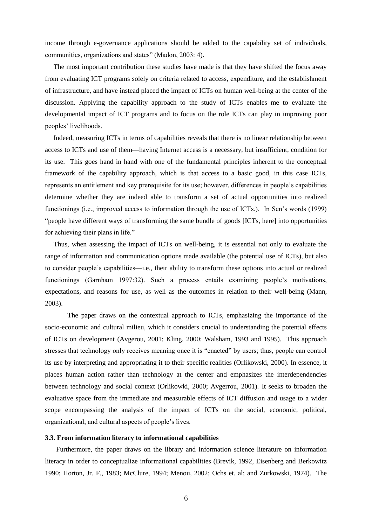income through e-governance applications should be added to the capability set of individuals, communities, organizations and states" (Madon, 2003: 4).

 The most important contribution these studies have made is that they have shifted the focus away from evaluating ICT programs solely on criteria related to access, expenditure, and the establishment of infrastructure, and have instead placed the impact of ICTs on human well-being at the center of the discussion. Applying the capability approach to the study of ICTs enables me to evaluate the developmental impact of ICT programs and to focus on the role ICTs can play in improving poor peoples' livelihoods.

 Indeed, measuring ICTs in terms of capabilities reveals that there is no linear relationship between access to ICTs and use of them—having Internet access is a necessary, but insufficient, condition for its use. This goes hand in hand with one of the fundamental principles inherent to the conceptual framework of the capability approach, which is that access to a basic good, in this case ICTs, represents an entitlement and key prerequisite for its use; however, differences in people's capabilities determine whether they are indeed able to transform a set of actual opportunities into realized functionings (i.e., improved access to information through the use of ICTs.). In Sen's words (1999) "people have different ways of transforming the same bundle of goods [ICTs, here] into opportunities for achieving their plans in life."

 Thus, when assessing the impact of ICTs on well-being, it is essential not only to evaluate the range of information and communication options made available (the potential use of ICTs), but also to consider people's capabilities—i.e., their ability to transform these options into actual or realized functionings (Garnham 1997:32). Such a process entails examining people's motivations, expectations, and reasons for use, as well as the outcomes in relation to their well-being (Mann, 2003).

The paper draws on the contextual approach to ICTs, emphasizing the importance of the socio-economic and cultural milieu, which it considers crucial to understanding the potential effects of ICTs on development (Avgerou, 2001; Kling, 2000; Walsham, 1993 and 1995). This approach stresses that technology only receives meaning once it is "enacted" by users; thus, people can control its use by interpreting and appropriating it to their specific realities (Orlikowski, 2000). In essence, it places human action rather than technology at the center and emphasizes the interdependencies between technology and social context (Orlikowki, 2000; Avgerrou, 2001). It seeks to broaden the evaluative space from the immediate and measurable effects of ICT diffusion and usage to a wider scope encompassing the analysis of the impact of ICTs on the social, economic, political, organizational, and cultural aspects of people's lives.

### **3.3. From information literacy to informational capabilities**

 Furthermore, the paper draws on the library and information science literature on information literacy in order to conceptualize informational capabilities (Brevik, 1992, Eisenberg and Berkowitz 1990; Horton, Jr. F., 1983; McClure, 1994; Menou, 2002; Ochs et. al; and Zurkowski, 1974). The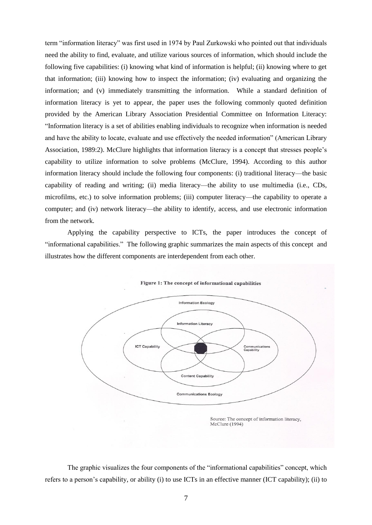term "information literacy" was first used in 1974 by Paul Zurkowski who pointed out that individuals need the ability to find, evaluate, and utilize various sources of information, which should include the following five capabilities: (i) knowing what kind of information is helpful; (ii) knowing where to get that information; (iii) knowing how to inspect the information; (iv) evaluating and organizing the information; and (v) immediately transmitting the information. While a standard definition of information literacy is yet to appear, the paper uses the following commonly quoted definition provided by the American Library Association Presidential Committee on Information Literacy: ―Information literacy is a set of abilities enabling individuals to recognize when information is needed and have the ability to locate, evaluate and use effectively the needed information" (American Library Association, 1989:2). McClure highlights that information literacy is a concept that stresses people's capability to utilize information to solve problems (McClure, 1994). According to this author information literacy should include the following four components: (i) traditional literacy—the basic capability of reading and writing; (ii) media literacy—the ability to use multimedia (i.e., CDs, microfilms, etc.) to solve information problems; (iii) computer literacy—the capability to operate a computer; and (iv) network literacy—the ability to identify, access, and use electronic information from the network.

Applying the capability perspective to ICTs, the paper introduces the concept of ―informational capabilities.‖ The following graphic summarizes the main aspects of this concept and illustrates how the different components are interdependent from each other.



Source: The concept of information literacy, McClure (1994)

The graphic visualizes the four components of the "informational capabilities" concept, which refers to a person's capability, or ability (i) to use ICTs in an effective manner (ICT capability); (ii) to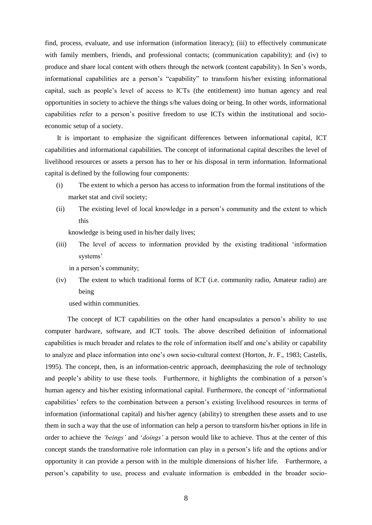find, process, evaluate, and use information (information literacy); (iii) to effectively communicate with family members, friends, and professional contacts; (communication capability); and (iv) to produce and share local content with others through the network (content capability). In Sen's words, informational capabilities are a person's "capability" to transform his/her existing informational capital, such as people's level of access to ICTs (the entitlement) into human agency and real opportunities in society to achieve the things s/he values doing or being. In other words, informational capabilities refer to a person's positive freedom to use ICTs within the institutional and socioeconomic setup of a society.

 It is important to emphasize the significant differences between informational capital, ICT capabilities and informational capabilities. The concept of informational capital describes the level of livelihood resources or assets a person has to her or his disposal in term information. Informational capital is defined by the following four components:

- (i) The extent to which a person has access to information from the formal institutions of the market stat and civil society;
- (ii) The existing level of local knowledge in a person's community and the extent to which this

knowledge is being used in his/her daily lives;

(iii) The level of access to information provided by the existing traditional ‗information systems'

in a person's community;

(iv) The extent to which traditional forms of ICT (i.e. community radio, Amateur radio) are being

used within communities.

The concept of ICT capabilities on the other hand encapsulates a person's ability to use computer hardware, software, and ICT tools. The above described definition of informational capabilities is much broader and relates to the role of information itself and one's ability or capability to analyze and place information into one's own socio-cultural context (Horton, Jr. F., 1983; Castells, 1995). The concept, then, is an information-centric approach, deemphasizing the role of technology and people's ability to use these tools. Furthermore, it highlights the combination of a person's human agency and his/her existing informational capital. Furthermore, the concept of 'informational capabilities' refers to the combination between a person's existing livelihood resources in terms of information (informational capital) and his/her agency (ability) to strengthen these assets and to use them in such a way that the use of information can help a person to transform his/her options in life in order to achieve the *"beings"* and ‗*doings"* a person would like to achieve. Thus at the center of this concept stands the transformative role information can play in a person's life and the options and/or opportunity it can provide a person with in the multiple dimensions of his/her life. Furthermore, a person's capability to use, process and evaluate information is embedded in the broader socio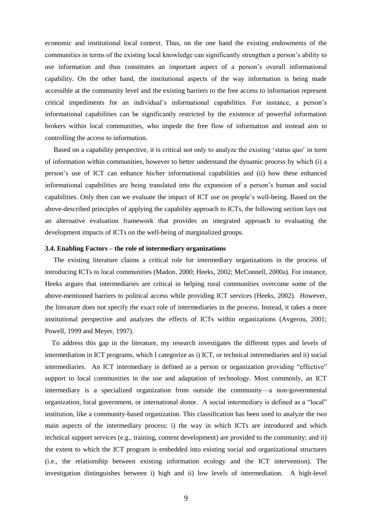economic and institutional local context. Thus, on the one hand the existing endowments of the communities in terms of the existing local knowledge can significantly strengthen a person's ability to use information and thus constitutes an important aspect of a person's overall informational capability. On the other hand, the institutional aspects of the way information is being made accessible at the community level and the existing barriers to the free access to information represent critical impediments for an individual's informational capabilities. For instance, a person's informational capabilities can be significantly restricted by the existence of powerful information brokers within local communities, who impede the free flow of information and instead aim to controlling the access to information.

Based on a capability perspective, it is critical not only to analyze the existing 'status quo' in term of information within communities, however to better understand the dynamic process by which (i) a person's use of ICT can enhance his/her informational capabilities and (ii) how these enhanced informational capabilities are being translated into the expansion of a person's human and social capabilities. Only then can we evaluate the impact of ICT use on people's well-being. Based on the above-described principles of applying the capability approach to ICTs, the following section lays out an alternative evaluation framework that provides an integrated approach to evaluating the development impacts of ICTs on the well-being of marginalized groups.

### **3.4. Enabling Factors – the role of intermediary organizations**

 The existing literature claims a critical role for intermediary organizations in the process of introducing ICTs to local communities (Madon, 2000; Heeks, 2002; McConnell, 2000a). For instance, Heeks argues that intermediaries are critical in helping rural communities overcome some of the above-mentioned barriers to political access while providing ICT services (Heeks, 2002). However, the literature does not specify the exact role of intermediaries in the process. Instead, it takes a more institutional perspective and analyzes the effects of ICTs within organizations (Avgerou, 2001; Powell, 1999 and Meyer, 1997).

 To address this gap in the literature, my research investigates the different types and levels of intermediation in ICT programs, which I categorize as i) ICT, or technical intermediaries and ii) social intermediaries. An ICT intermediary is defined as a person or organization providing "effective" support to local communities in the use and adaptation of technology. Most commonly, an ICT intermediary is a specialized organization from outside the community—a non-governmental organization, local government, or international donor. A social intermediary is defined as a "local" institution, like a community-based organization. This classification has been used to analyze the two main aspects of the intermediary process: i) the way in which ICTs are introduced and which technical support services (e.g., training, content development) are provided to the community; and ii) the extent to which the ICT program is embedded into existing social and organizational structures (i.e., the relationship between existing information ecology and the ICT intervention). The investigation distinguishes between i) high and ii) low levels of intermediation. A high-level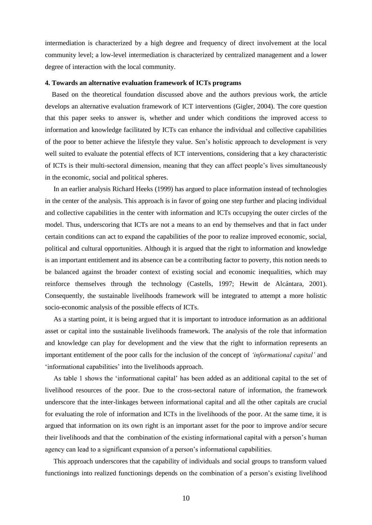intermediation is characterized by a high degree and frequency of direct involvement at the local community level; a low-level intermediation is characterized by centralized management and a lower degree of interaction with the local community.

#### **4. Towards an alternative evaluation framework of ICTs programs**

 Based on the theoretical foundation discussed above and the authors previous work, the article develops an alternative evaluation framework of ICT interventions (Gigler, 2004). The core question that this paper seeks to answer is, whether and under which conditions the improved access to information and knowledge facilitated by ICTs can enhance the individual and collective capabilities of the poor to better achieve the lifestyle they value. Sen's holistic approach to development is very well suited to evaluate the potential effects of ICT interventions, considering that a key characteristic of ICTs is their multi-sectoral dimension, meaning that they can affect people's lives simultaneously in the economic, social and political spheres.

 In an earlier analysis Richard Heeks (1999) has argued to place information instead of technologies in the center of the analysis. This approach is in favor of going one step further and placing individual and collective capabilities in the center with information and ICTs occupying the outer circles of the model. Thus, underscoring that ICTs are not a means to an end by themselves and that in fact under certain conditions can act to expand the capabilities of the poor to realize improved economic, social, political and cultural opportunities. Although it is argued that the right to information and knowledge is an important entitlement and its absence can be a contributing factor to poverty, this notion needs to be balanced against the broader context of existing social and economic inequalities, which may reinforce themselves through the technology (Castells, 1997; Hewitt de Alcántara, 2001). Consequently, the sustainable livelihoods framework will be integrated to attempt a more holistic socio-economic analysis of the possible effects of ICTs.

 As a starting point, it is being argued that it is important to introduce information as an additional asset or capital into the sustainable livelihoods framework. The analysis of the role that information and knowledge can play for development and the view that the right to information represents an important entitlement of the poor calls for the inclusion of the concept of *"informational capital"* and ‗informational capabilities' into the livelihoods approach.

As table 1 shows the 'informational capital' has been added as an additional capital to the set of livelihood resources of the poor. Due to the cross-sectoral nature of information, the framework underscore that the inter-linkages between informational capital and all the other capitals are crucial for evaluating the role of information and ICTs in the livelihoods of the poor. At the same time, it is argued that information on its own right is an important asset for the poor to improve and/or secure their livelihoods and that the combination of the existing informational capital with a person's human agency can lead to a significant expansion of a person's informational capabilities.

 This approach underscores that the capability of individuals and social groups to transform valued functionings into realized functionings depends on the combination of a person's existing livelihood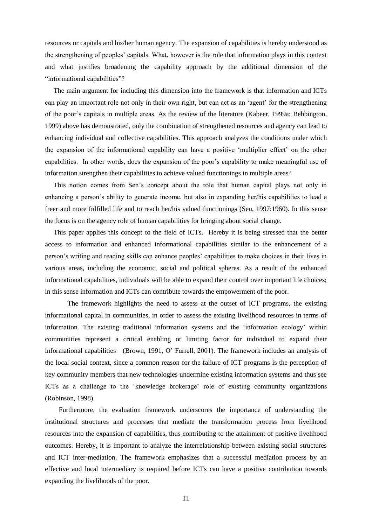resources or capitals and his/her human agency. The expansion of capabilities is hereby understood as the strengthening of peoples' capitals. What, however is the role that information plays in this context and what justifies broadening the capability approach by the additional dimension of the "informational capabilities"?

 The main argument for including this dimension into the framework is that information and ICTs can play an important role not only in their own right, but can act as an 'agent' for the strengthening of the poor's capitals in multiple areas. As the review of the literature (Kabeer, 1999a; Bebbington, 1999) above has demonstrated, only the combination of strengthened resources and agency can lead to enhancing individual and collective capabilities. This approach analyzes the conditions under which the expansion of the informational capability can have a positive 'multiplier effect' on the other capabilities. In other words, does the expansion of the poor's capability to make meaningful use of information strengthen their capabilities to achieve valued functionings in multiple areas?

 This notion comes from Sen's concept about the role that human capital plays not only in enhancing a person's ability to generate income, but also in expanding her/his capabilities to lead a freer and more fulfilled life and to reach her/his valued functionings (Sen, 1997:1960). In this sense the focus is on the agency role of human capabilities for bringing about social change.

 This paper applies this concept to the field of ICTs. Hereby it is being stressed that the better access to information and enhanced informational capabilities similar to the enhancement of a person's writing and reading skills can enhance peoples' capabilities to make choices in their lives in various areas, including the economic, social and political spheres. As a result of the enhanced informational capabilities, individuals will be able to expand their control over important life choices; in this sense information and ICTs can contribute towards the empowerment of the poor.

The framework highlights the need to assess at the outset of ICT programs, the existing informational capital in communities, in order to assess the existing livelihood resources in terms of information. The existing traditional information systems and the 'information ecology' within communities represent a critical enabling or limiting factor for individual to expand their informational capabilities (Brown, 1991, O' Farrell, 2001). The framework includes an analysis of the local social context, since a common reason for the failure of ICT programs is the perception of key community members that new technologies undermine existing information systems and thus see ICTs as a challenge to the ‗knowledge brokerage' role of existing community organizations (Robinson, 1998).

 Furthermore, the evaluation framework underscores the importance of understanding the institutional structures and processes that mediate the transformation process from livelihood resources into the expansion of capabilities, thus contributing to the attainment of positive livelihood outcomes. Hereby, it is important to analyze the interrelationship between existing social structures and ICT inter-mediation. The framework emphasizes that a successful mediation process by an effective and local intermediary is required before ICTs can have a positive contribution towards expanding the livelihoods of the poor.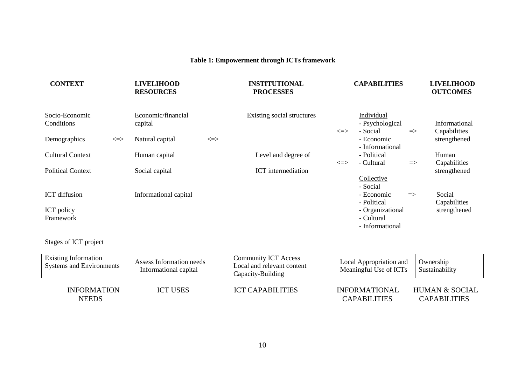### **Table 1: Empowerment through ICTs framework**

| <b>CONTEXT</b>                 |             | <b>LIVELIHOOD</b><br><b>RESOURCES</b> |        | <b>INSTITUTIONAL</b><br><b>PROCESSES</b> |        | <b>CAPABILITIES</b>                               |               | <b>LIVELIHOOD</b><br><b>OUTCOMES</b> |
|--------------------------------|-------------|---------------------------------------|--------|------------------------------------------|--------|---------------------------------------------------|---------------|--------------------------------------|
| Socio-Economic<br>Conditions   |             | Economic/financial<br>capital         |        | Existing social structures               | $\leq$ | Individual<br>- Psychological<br>- Social         | $\Rightarrow$ | Informational<br>Capabilities        |
| Demographics                   | $\leq \geq$ | Natural capital                       | $\leq$ |                                          |        | - Economic<br>- Informational                     |               | strengthened                         |
| <b>Cultural Context</b>        |             | Human capital                         |        | Level and degree of                      | $\leq$ | - Political<br>- Cultural                         | $\Rightarrow$ | Human<br>Capabilities                |
| <b>Political Context</b>       |             | Social capital                        |        | <b>ICT</b> intermediation                |        | Collective<br>- Social                            |               | strengthened                         |
| <b>ICT</b> diffusion           |             | Informational capital                 |        |                                          |        | - Economic<br>- Political                         | $\Rightarrow$ | Social<br>Capabilities               |
| <b>ICT</b> policy<br>Framework |             |                                       |        |                                          |        | - Organizational<br>- Cultural<br>- Informational |               | strengthened                         |

### Stages of ICT project

| Existing Information<br><b>Systems and Environments</b> | Assess Information needs<br>Informational capital | <b>Community ICT Access</b><br>Local and relevant content<br>Capacity-Building | Local Appropriation and<br>Meaningful Use of ICTs | Ownership<br>Sustainability                      |
|---------------------------------------------------------|---------------------------------------------------|--------------------------------------------------------------------------------|---------------------------------------------------|--------------------------------------------------|
| <b>INFORMATION</b><br><b>NEEDS</b>                      | <b>ICT USES</b>                                   | <b>ICT CAPABILITIES</b>                                                        | <b>INFORMATIONAL</b><br><b>CAPABILITIES</b>       | <b>HUMAN &amp; SOCIAL</b><br><b>CAPABILITIES</b> |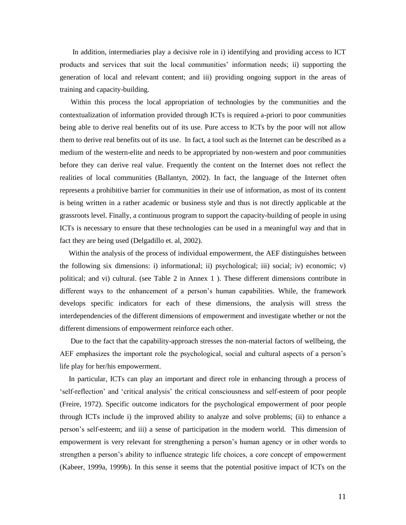In addition, intermediaries play a decisive role in i) identifying and providing access to ICT products and services that suit the local communities' information needs; ii) supporting the generation of local and relevant content; and iii) providing ongoing support in the areas of training and capacity-building.

 Within this process the local appropriation of technologies by the communities and the contextualization of information provided through ICTs is required a-priori to poor communities being able to derive real benefits out of its use. Pure access to ICTs by the poor will not allow them to derive real benefits out of its use. In fact, a tool such as the Internet can be described as a medium of the western-elite and needs to be appropriated by non-western and poor communities before they can derive real value. Frequently the content on the Internet does not reflect the realities of local communities (Ballantyn, 2002). In fact, the language of the Internet often represents a prohibitive barrier for communities in their use of information, as most of its content is being written in a rather academic or business style and thus is not directly applicable at the grassroots level. Finally, a continuous program to support the capacity-building of people in using ICTs is necessary to ensure that these technologies can be used in a meaningful way and that in fact they are being used (Delgadillo et. al, 2002).

Within the analysis of the process of individual empowerment, the AEF distinguishes between the following six dimensions: i) informational; ii) psychological; iii) social; iv) economic; v) political; and vi) cultural. (see Table 2 in Annex 1 ). These different dimensions contribute in different ways to the enhancement of a person's human capabilities. While, the framework develops specific indicators for each of these dimensions, the analysis will stress the interdependencies of the different dimensions of empowerment and investigate whether or not the different dimensions of empowerment reinforce each other.

 Due to the fact that the capability-approach stresses the non-material factors of wellbeing, the AEF emphasizes the important role the psychological, social and cultural aspects of a person's life play for her/his empowerment.

 In particular, ICTs can play an important and direct role in enhancing through a process of ‗self-reflection' and ‗critical analysis' the critical consciousness and self-esteem of poor people (Freire, 1972). Specific outcome indicators for the psychological empowerment of poor people through ICTs include i) the improved ability to analyze and solve problems; (ii) to enhance a person's self-esteem; and iii) a sense of participation in the modern world. This dimension of empowerment is very relevant for strengthening a person's human agency or in other words to strengthen a person's ability to influence strategic life choices, a core concept of empowerment (Kabeer, 1999a, 1999b). In this sense it seems that the potential positive impact of ICTs on the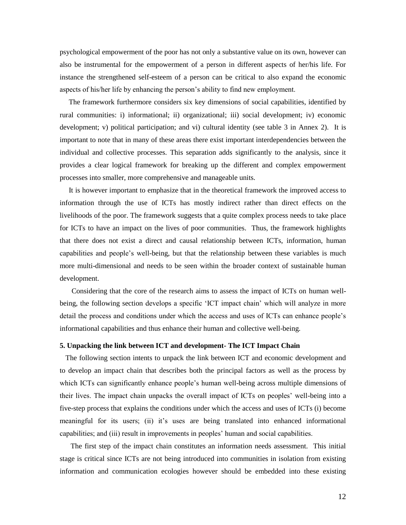psychological empowerment of the poor has not only a substantive value on its own, however can also be instrumental for the empowerment of a person in different aspects of her/his life. For instance the strengthened self-esteem of a person can be critical to also expand the economic aspects of his/her life by enhancing the person's ability to find new employment.

 The framework furthermore considers six key dimensions of social capabilities, identified by rural communities: i) informational; ii) organizational; iii) social development; iv) economic development; v) political participation; and vi) cultural identity (see table 3 in Annex 2). It is important to note that in many of these areas there exist important interdependencies between the individual and collective processes. This separation adds significantly to the analysis, since it provides a clear logical framework for breaking up the different and complex empowerment processes into smaller, more comprehensive and manageable units.

 It is however important to emphasize that in the theoretical framework the improved access to information through the use of ICTs has mostly indirect rather than direct effects on the livelihoods of the poor. The framework suggests that a quite complex process needs to take place for ICTs to have an impact on the lives of poor communities. Thus, the framework highlights that there does not exist a direct and causal relationship between ICTs, information, human capabilities and people's well-being, but that the relationship between these variables is much more multi-dimensional and needs to be seen within the broader context of sustainable human development.

 Considering that the core of the research aims to assess the impact of ICTs on human wellbeing, the following section develops a specific 'ICT impact chain' which will analyze in more detail the process and conditions under which the access and uses of ICTs can enhance people's informational capabilities and thus enhance their human and collective well-being.

### **5. Unpacking the link between ICT and development- The ICT Impact Chain**

 The following section intents to unpack the link between ICT and economic development and to develop an impact chain that describes both the principal factors as well as the process by which ICTs can significantly enhance people's human well-being across multiple dimensions of their lives. The impact chain unpacks the overall impact of ICTs on peoples' well-being into a five-step process that explains the conditions under which the access and uses of ICTs (i) become meaningful for its users; (ii) it's uses are being translated into enhanced informational capabilities; and (iii) result in improvements in peoples' human and social capabilities.

 The first step of the impact chain constitutes an information needs assessment. This initial stage is critical since ICTs are not being introduced into communities in isolation from existing information and communication ecologies however should be embedded into these existing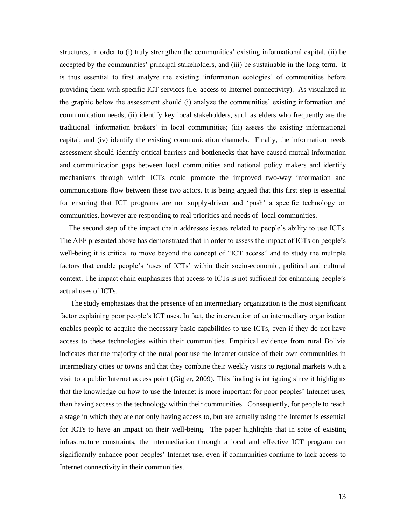structures, in order to (i) truly strengthen the communities' existing informational capital, (ii) be accepted by the communities' principal stakeholders, and (iii) be sustainable in the long-term. It is thus essential to first analyze the existing ‗information ecologies' of communities before providing them with specific ICT services (i.e. access to Internet connectivity). As visualized in the graphic below the assessment should (i) analyze the communities' existing information and communication needs, (ii) identify key local stakeholders, such as elders who frequently are the traditional ‗information brokers' in local communities; (iii) assess the existing informational capital; and (iv) identify the existing communication channels. Finally, the information needs assessment should identify critical barriers and bottlenecks that have caused mutual information and communication gaps between local communities and national policy makers and identify mechanisms through which ICTs could promote the improved two-way information and communications flow between these two actors. It is being argued that this first step is essential for ensuring that ICT programs are not supply-driven and 'push' a specific technology on communities, however are responding to real priorities and needs of local communities.

 The second step of the impact chain addresses issues related to people's ability to use ICTs. The AEF presented above has demonstrated that in order to assess the impact of ICTs on people's well-being it is critical to move beyond the concept of "ICT access" and to study the multiple factors that enable people's 'uses of ICTs' within their socio-economic, political and cultural context. The impact chain emphasizes that access to ICTs is not sufficient for enhancing people's actual uses of ICTs.

 The study emphasizes that the presence of an intermediary organization is the most significant factor explaining poor people's ICT uses. In fact, the intervention of an intermediary organization enables people to acquire the necessary basic capabilities to use ICTs, even if they do not have access to these technologies within their communities. Empirical evidence from rural Bolivia indicates that the majority of the rural poor use the Internet outside of their own communities in intermediary cities or towns and that they combine their weekly visits to regional markets with a visit to a public Internet access point (Gigler, 2009). This finding is intriguing since it highlights that the knowledge on how to use the Internet is more important for poor peoples' Internet uses, than having access to the technology within their communities. Consequently, for people to reach a stage in which they are not only having access to, but are actually using the Internet is essential for ICTs to have an impact on their well-being. The paper highlights that in spite of existing infrastructure constraints, the intermediation through a local and effective ICT program can significantly enhance poor peoples' Internet use, even if communities continue to lack access to Internet connectivity in their communities.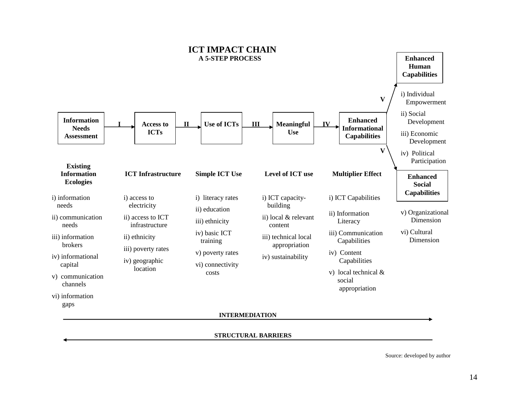

#### **STRUCTURAL BARRIERS**

Source: developed by author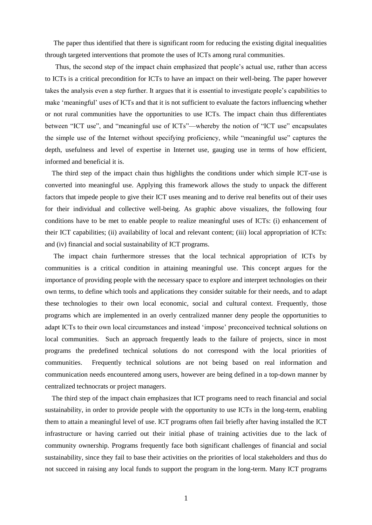The paper thus identified that there is significant room for reducing the existing digital inequalities through targeted interventions that promote the uses of ICTs among rural communities.

 Thus, the second step of the impact chain emphasized that people's actual use, rather than access to ICTs is a critical precondition for ICTs to have an impact on their well-being. The paper however takes the analysis even a step further. It argues that it is essential to investigate people's capabilities to make 'meaningful' uses of ICTs and that it is not sufficient to evaluate the factors influencing whether or not rural communities have the opportunities to use ICTs. The impact chain thus differentiates between "ICT use", and "meaningful use of ICTs"—whereby the notion of "ICT use" encapsulates the simple use of the Internet without specifying proficiency, while "meaningful use" captures the depth, usefulness and level of expertise in Internet use, gauging use in terms of how efficient, informed and beneficial it is.

 The third step of the impact chain thus highlights the conditions under which simple ICT-use is converted into meaningful use. Applying this framework allows the study to unpack the different factors that impede people to give their ICT uses meaning and to derive real benefits out of their uses for their individual and collective well-being. As graphic above visualizes, the following four conditions have to be met to enable people to realize meaningful uses of ICTs: (i) enhancement of their ICT capabilities; (ii) availability of local and relevant content; (iii) local appropriation of ICTs: and (iv) financial and social sustainability of ICT programs.

 The impact chain furthermore stresses that the local technical appropriation of ICTs by communities is a critical condition in attaining meaningful use. This concept argues for the importance of providing people with the necessary space to explore and interpret technologies on their own terms, to define which tools and applications they consider suitable for their needs, and to adapt these technologies to their own local economic, social and cultural context. Frequently, those programs which are implemented in an overly centralized manner deny people the opportunities to adapt ICTs to their own local circumstances and instead ‗impose' preconceived technical solutions on local communities. Such an approach frequently leads to the failure of projects, since in most programs the predefined technical solutions do not correspond with the local priorities of communities. Frequently technical solutions are not being based on real information and communication needs encountered among users, however are being defined in a top-down manner by centralized technocrats or project managers.

 The third step of the impact chain emphasizes that ICT programs need to reach financial and social sustainability, in order to provide people with the opportunity to use ICTs in the long-term, enabling them to attain a meaningful level of use. ICT programs often fail briefly after having installed the ICT infrastructure or having carried out their initial phase of training activities due to the lack of community ownership. Programs frequently face both significant challenges of financial and social sustainability, since they fail to base their activities on the priorities of local stakeholders and thus do not succeed in raising any local funds to support the program in the long-term. Many ICT programs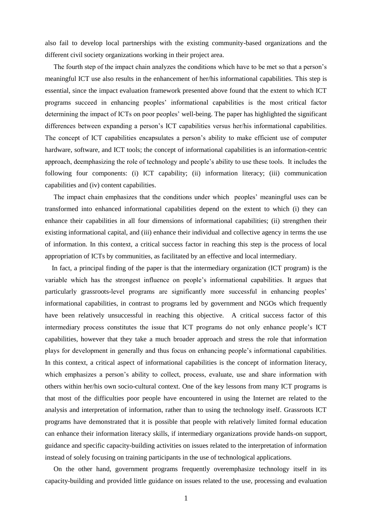also fail to develop local partnerships with the existing community-based organizations and the different civil society organizations working in their project area.

 The fourth step of the impact chain analyzes the conditions which have to be met so that a person's meaningful ICT use also results in the enhancement of her/his informational capabilities. This step is essential, since the impact evaluation framework presented above found that the extent to which ICT programs succeed in enhancing peoples' informational capabilities is the most critical factor determining the impact of ICTs on poor peoples' well-being. The paper has highlighted the significant differences between expanding a person's ICT capabilities versus her/his informational capabilities. The concept of ICT capabilities encapsulates a person's ability to make efficient use of computer hardware, software, and ICT tools; the concept of informational capabilities is an information-centric approach, deemphasizing the role of technology and people's ability to use these tools. It includes the following four components: (i) ICT capability; (ii) information literacy; (iii) communication capabilities and (iv) content capabilities.

 The impact chain emphasizes that the conditions under which peoples' meaningful uses can be transformed into enhanced informational capabilities depend on the extent to which (i) they can enhance their capabilities in all four dimensions of informational capabilities; (ii) strengthen their existing informational capital, and (iii) enhance their individual and collective agency in terms the use of information. In this context, a critical success factor in reaching this step is the process of local appropriation of ICTs by communities, as facilitated by an effective and local intermediary.

 In fact, a principal finding of the paper is that the intermediary organization (ICT program) is the variable which has the strongest influence on people's informational capabilities. It argues that particularly grassroots-level programs are significantly more successful in enhancing peoples' informational capabilities, in contrast to programs led by government and NGOs which frequently have been relatively unsuccessful in reaching this objective. A critical success factor of this intermediary process constitutes the issue that ICT programs do not only enhance people's ICT capabilities, however that they take a much broader approach and stress the role that information plays for development in generally and thus focus on enhancing people's informational capabilities. In this context, a critical aspect of informational capabilities is the concept of information literacy, which emphasizes a person's ability to collect, process, evaluate, use and share information with others within her/his own socio-cultural context. One of the key lessons from many ICT programs is that most of the difficulties poor people have encountered in using the Internet are related to the analysis and interpretation of information, rather than to using the technology itself. Grassroots ICT programs have demonstrated that it is possible that people with relatively limited formal education can enhance their information literacy skills, if intermediary organizations provide hands-on support, guidance and specific capacity-building activities on issues related to the interpretation of information instead of solely focusing on training participants in the use of technological applications.

 On the other hand, government programs frequently overemphasize technology itself in its capacity-building and provided little guidance on issues related to the use, processing and evaluation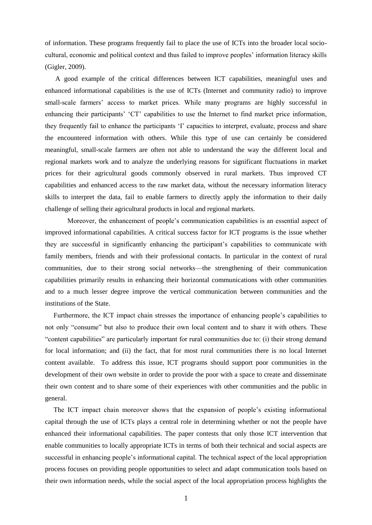of information. These programs frequently fail to place the use of ICTs into the broader local sociocultural, economic and political context and thus failed to improve peoples' information literacy skills (Gigler, 2009).

 A good example of the critical differences between ICT capabilities, meaningful uses and enhanced informational capabilities is the use of ICTs (Internet and community radio) to improve small-scale farmers' access to market prices. While many programs are highly successful in enhancing their participants' ‗CT' capabilities to use the Internet to find market price information, they frequently fail to enhance the participants 'I' capacities to interpret, evaluate, process and share the encountered information with others. While this type of use can certainly be considered meaningful, small-scale farmers are often not able to understand the way the different local and regional markets work and to analyze the underlying reasons for significant fluctuations in market prices for their agricultural goods commonly observed in rural markets. Thus improved CT capabilities and enhanced access to the raw market data, without the necessary information literacy skills to interpret the data, fail to enable farmers to directly apply the information to their daily challenge of selling their agricultural products in local and regional markets.

Moreover, the enhancement of people's communication capabilities is an essential aspect of improved informational capabilities. A critical success factor for ICT programs is the issue whether they are successful in significantly enhancing the participant's capabilities to communicate with family members, friends and with their professional contacts. In particular in the context of rural communities, due to their strong social networks—the strengthening of their communication capabilities primarily results in enhancing their horizontal communications with other communities and to a much lesser degree improve the vertical communication between communities and the institutions of the State.

 Furthermore, the ICT impact chain stresses the importance of enhancing people's capabilities to not only "consume" but also to produce their own local content and to share it with others. These ―content capabilities‖ are particularly important for rural communities due to: (i) their strong demand for local information; and (ii) the fact, that for most rural communities there is no local Internet content available. To address this issue, ICT programs should support poor communities in the development of their own website in order to provide the poor with a space to create and disseminate their own content and to share some of their experiences with other communities and the public in general.

 The ICT impact chain moreover shows that the expansion of people's existing informational capital through the use of ICTs plays a central role in determining whether or not the people have enhanced their informational capabilities. The paper contests that only those ICT intervention that enable communities to locally appropriate ICTs in terms of both their technical and social aspects are successful in enhancing people's informational capital. The technical aspect of the local appropriation process focuses on providing people opportunities to select and adapt communication tools based on their own information needs, while the social aspect of the local appropriation process highlights the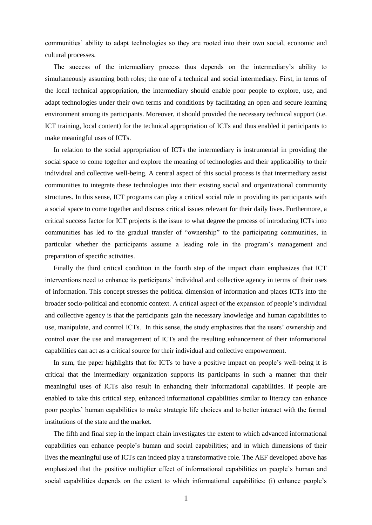communities' ability to adapt technologies so they are rooted into their own social, economic and cultural processes.

 The success of the intermediary process thus depends on the intermediary's ability to simultaneously assuming both roles; the one of a technical and social intermediary. First, in terms of the local technical appropriation, the intermediary should enable poor people to explore, use, and adapt technologies under their own terms and conditions by facilitating an open and secure learning environment among its participants. Moreover, it should provided the necessary technical support (i.e. ICT training, local content) for the technical appropriation of ICTs and thus enabled it participants to make meaningful uses of ICTs.

 In relation to the social appropriation of ICTs the intermediary is instrumental in providing the social space to come together and explore the meaning of technologies and their applicability to their individual and collective well-being. A central aspect of this social process is that intermediary assist communities to integrate these technologies into their existing social and organizational community structures. In this sense, ICT programs can play a critical social role in providing its participants with a social space to come together and discuss critical issues relevant for their daily lives. Furthermore, a critical success factor for ICT projects is the issue to what degree the process of introducing ICTs into communities has led to the gradual transfer of "ownership" to the participating communities, in particular whether the participants assume a leading role in the program's management and preparation of specific activities.

 Finally the third critical condition in the fourth step of the impact chain emphasizes that ICT interventions need to enhance its participants' individual and collective agency in terms of their uses of information. This concept stresses the political dimension of information and places ICTs into the broader socio-political and economic context. A critical aspect of the expansion of people's individual and collective agency is that the participants gain the necessary knowledge and human capabilities to use, manipulate, and control ICTs. In this sense, the study emphasizes that the users' ownership and control over the use and management of ICTs and the resulting enhancement of their informational capabilities can act as a critical source for their individual and collective empowerment.

 In sum, the paper highlights that for ICTs to have a positive impact on people's well-being it is critical that the intermediary organization supports its participants in such a manner that their meaningful uses of ICTs also result in enhancing their informational capabilities. If people are enabled to take this critical step, enhanced informational capabilities similar to literacy can enhance poor peoples' human capabilities to make strategic life choices and to better interact with the formal institutions of the state and the market.

 The fifth and final step in the impact chain investigates the extent to which advanced informational capabilities can enhance people's human and social capabilities; and in which dimensions of their lives the meaningful use of ICTs can indeed play a transformative role. The AEF developed above has emphasized that the positive multiplier effect of informational capabilities on people's human and social capabilities depends on the extent to which informational capabilities: (i) enhance people's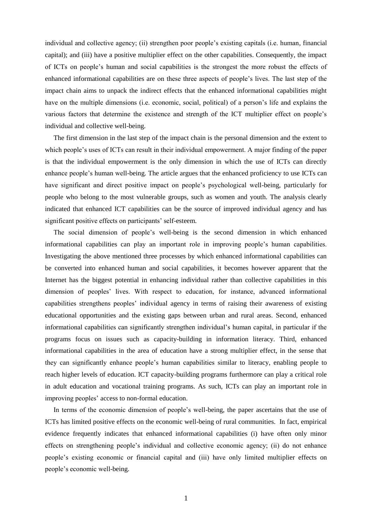individual and collective agency; (ii) strengthen poor people's existing capitals (i.e. human, financial capital); and (iii) have a positive multiplier effect on the other capabilities. Consequently, the impact of ICTs on people's human and social capabilities is the strongest the more robust the effects of enhanced informational capabilities are on these three aspects of people's lives. The last step of the impact chain aims to unpack the indirect effects that the enhanced informational capabilities might have on the multiple dimensions (i.e. economic, social, political) of a person's life and explains the various factors that determine the existence and strength of the ICT multiplier effect on people's individual and collective well-being.

 The first dimension in the last step of the impact chain is the personal dimension and the extent to which people's uses of ICTs can result in their individual empowerment. A major finding of the paper is that the individual empowerment is the only dimension in which the use of ICTs can directly enhance people's human well-being. The article argues that the enhanced proficiency to use ICTs can have significant and direct positive impact on people's psychological well-being, particularly for people who belong to the most vulnerable groups, such as women and youth. The analysis clearly indicated that enhanced ICT capabilities can be the source of improved individual agency and has significant positive effects on participants' self-esteem.

 The social dimension of people's well-being is the second dimension in which enhanced informational capabilities can play an important role in improving people's human capabilities. Investigating the above mentioned three processes by which enhanced informational capabilities can be converted into enhanced human and social capabilities, it becomes however apparent that the Internet has the biggest potential in enhancing individual rather than collective capabilities in this dimension of peoples' lives. With respect to education, for instance, advanced informational capabilities strengthens peoples' individual agency in terms of raising their awareness of existing educational opportunities and the existing gaps between urban and rural areas. Second, enhanced informational capabilities can significantly strengthen individual's human capital, in particular if the programs focus on issues such as capacity-building in information literacy. Third, enhanced informational capabilities in the area of education have a strong multiplier effect, in the sense that they can significantly enhance people's human capabilities similar to literacy, enabling people to reach higher levels of education. ICT capacity-building programs furthermore can play a critical role in adult education and vocational training programs. As such, ICTs can play an important role in improving peoples' access to non-formal education.

 In terms of the economic dimension of people's well-being, the paper ascertains that the use of ICTs has limited positive effects on the economic well-being of rural communities. In fact, empirical evidence frequently indicates that enhanced informational capabilities (i) have often only minor effects on strengthening people's individual and collective economic agency; (ii) do not enhance people's existing economic or financial capital and (iii) have only limited multiplier effects on people's economic well-being.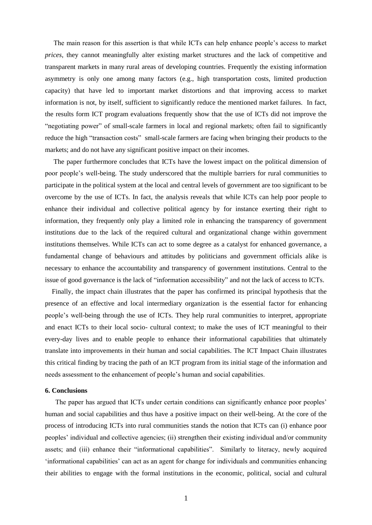The main reason for this assertion is that while ICTs can help enhance people's access to market *prices*, they cannot meaningfully alter existing market structures and the lack of competitive and transparent markets in many rural areas of developing countries. Frequently the existing information asymmetry is only one among many factors (e.g., high transportation costs, limited production capacity) that have led to important market distortions and that improving access to market information is not, by itself, sufficient to significantly reduce the mentioned market failures. In fact, the results form ICT program evaluations frequently show that the use of ICTs did not improve the "negotiating power" of small-scale farmers in local and regional markets; often fail to significantly reduce the high "transaction costs" small-scale farmers are facing when bringing their products to the markets; and do not have any significant positive impact on their incomes.

 The paper furthermore concludes that ICTs have the lowest impact on the political dimension of poor people's well-being. The study underscored that the multiple barriers for rural communities to participate in the political system at the local and central levels of government are too significant to be overcome by the use of ICTs. In fact, the analysis reveals that while ICTs can help poor people to enhance their individual and collective political agency by for instance exerting their right to information, they frequently only play a limited role in enhancing the transparency of government institutions due to the lack of the required cultural and organizational change within government institutions themselves. While ICTs can act to some degree as a catalyst for enhanced governance, a fundamental change of behaviours and attitudes by politicians and government officials alike is necessary to enhance the accountability and transparency of government institutions. Central to the issue of good governance is the lack of "information accessibility" and not the lack of access to ICTs.

 Finally, the impact chain illustrates that the paper has confirmed its principal hypothesis that the presence of an effective and local intermediary organization is the essential factor for enhancing people's well-being through the use of ICTs. They help rural communities to interpret, appropriate and enact ICTs to their local socio- cultural context; to make the uses of ICT meaningful to their every-day lives and to enable people to enhance their informational capabilities that ultimately translate into improvements in their human and social capabilities. The ICT Impact Chain illustrates this critical finding by tracing the path of an ICT program from its initial stage of the information and needs assessment to the enhancement of people's human and social capabilities.

### **6. Conclusions**

The paper has argued that ICTs under certain conditions can significantly enhance poor peoples' human and social capabilities and thus have a positive impact on their well-being. At the core of the process of introducing ICTs into rural communities stands the notion that ICTs can (i) enhance poor peoples' individual and collective agencies; (ii) strengthen their existing individual and/or community assets; and (iii) enhance their "informational capabilities". Similarly to literacy, newly acquired ‗informational capabilities' can act as an agent for change for individuals and communities enhancing their abilities to engage with the formal institutions in the economic, political, social and cultural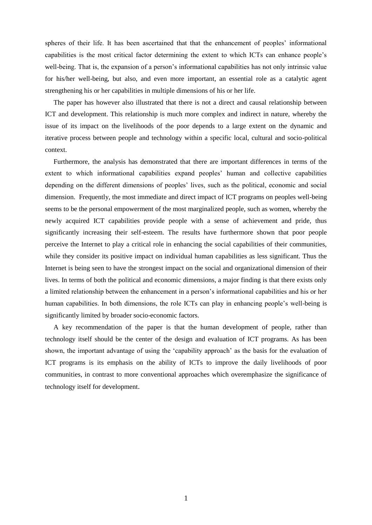spheres of their life. It has been ascertained that that the enhancement of peoples' informational capabilities is the most critical factor determining the extent to which ICTs can enhance people's well-being. That is, the expansion of a person's informational capabilities has not only intrinsic value for his/her well-being, but also, and even more important, an essential role as a catalytic agent strengthening his or her capabilities in multiple dimensions of his or her life.

 The paper has however also illustrated that there is not a direct and causal relationship between ICT and development. This relationship is much more complex and indirect in nature, whereby the issue of its impact on the livelihoods of the poor depends to a large extent on the dynamic and iterative process between people and technology within a specific local, cultural and socio-political context.

 Furthermore, the analysis has demonstrated that there are important differences in terms of the extent to which informational capabilities expand peoples' human and collective capabilities depending on the different dimensions of peoples' lives, such as the political, economic and social dimension. Frequently, the most immediate and direct impact of ICT programs on peoples well-being seems to be the personal empowerment of the most marginalized people, such as women, whereby the newly acquired ICT capabilities provide people with a sense of achievement and pride, thus significantly increasing their self-esteem. The results have furthermore shown that poor people perceive the Internet to play a critical role in enhancing the social capabilities of their communities, while they consider its positive impact on individual human capabilities as less significant. Thus the Internet is being seen to have the strongest impact on the social and organizational dimension of their lives. In terms of both the political and economic dimensions, a major finding is that there exists only a limited relationship between the enhancement in a person's informational capabilities and his or her human capabilities. In both dimensions, the role ICTs can play in enhancing people's well-being is significantly limited by broader socio-economic factors.

 A key recommendation of the paper is that the human development of people, rather than technology itself should be the center of the design and evaluation of ICT programs. As has been shown, the important advantage of using the 'capability approach' as the basis for the evaluation of ICT programs is its emphasis on the ability of ICTs to improve the daily livelihoods of poor communities, in contrast to more conventional approaches which overemphasize the significance of technology itself for development.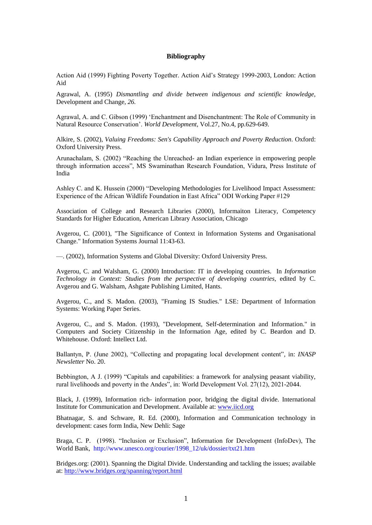### **Bibliography**

Action Aid (1999) Fighting Poverty Together. Action Aid's Strategy 1999-2003, London: Action Aid

Agrawal, A. (1995) *Dismantling and divide between indigenous and scientific knowledge,*  Development and Change, *26.*

Agrawal, A. and C. Gibson (1999) ‗Enchantment and Disenchantment: The Role of Community in Natural Resource Conservation'. *World Development*, Vol.27, No.4, pp.629-649.

Alkire, S. (2002), *Valuing Freedoms: Sen's Capability Approach and Poverty Reduction*. Oxford: Oxford University Press.

Arunachalam, S. (2002) "Reaching the Unreached- an Indian experience in empowering people through information access", MS Swaminathan Research Foundation, Vidura, Press Institute of India

Ashley C. and K. Hussein (2000) "Developing Methodologies for Livelihood Impact Assessment: Experience of the African Wildlife Foundation in East Africa" ODI Working Paper #129

Association of College and Research Libraries (2000), Informaiton Literacy, Competency Standards for Higher Education, American Library Association, Chicago

Avgerou, C. (2001), "The Significance of Context in Information Systems and Organisational Change." Information Systems Journal 11:43-63.

—. (2002), Information Systems and Global Diversity: Oxford University Press.

Avgerou, C. and Walsham, G. (2000) Introduction: IT in developing countries. In *Information Technology in Context: Studies from the perspective of developing countries,* edited by C. Avgerou and G. Walsham, Ashgate Publishing Limited, Hants.

Avgerou, C., and S. Madon. (2003), "Framing IS Studies." LSE: Department of Information Systems: Working Paper Series.

Avgerou, C., and S. Madon. (1993), "Development, Self-determination and Information." in Computers and Society Citizenship in the Information Age, edited by C. Beardon and D. Whitehouse. Oxford: Intellect Ltd.

Ballantyn, P. (June 2002), "Collecting and propagating local development content", in: *INASP Newsletter* No. 20.

Bebbington, A J. (1999) "Capitals and capabilities: a framework for analysing peasant viability, rural livelihoods and poverty in the Andes<sup>"</sup>, in: World Development Vol. 27(12), 2021-2044.

Black, J. (1999), Information rich- information poor, bridging the digital divide. International Institute for Communication and Development. Available at: [www.iicd.org](http://www.iicd.org/)

Bhatnagar, S. and Schware, R. Ed. (2000), Information and Communication technology in development: cases form India, New Dehli: Sage

Braga, C. P. (1998). "Inclusion or Exclusion", Information for Development (InfoDev), The World Bank, http://www.unesco.org/courier/1998\_12/uk/dossier/txt21.htm

Bridges.org: (2001). Spanning the Digital Divide. Understanding and tackling the issues; available at:<http://www.bridges.org/spanning/report.html>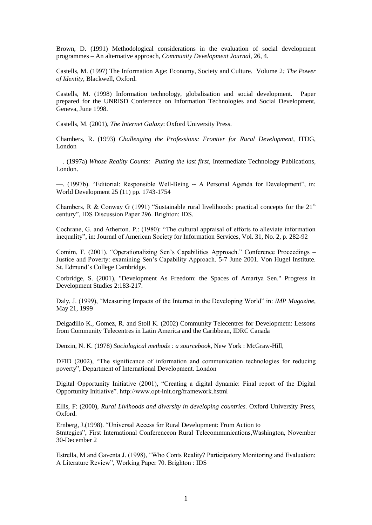Brown, D. (1991) Methodological considerations in the evaluation of social development programmes – An alternative approach, *Community Development Journal*, 26, 4.

Castells, M. (1997) The Information Age: Economy, Society and Culture. Volume 2*: The Power of Identity,* Blackwell, Oxford.

Castells, M. (1998) Information technology, globalisation and social development. Paper prepared for the UNRISD Conference on Information Technologies and Social Development, Geneva, June 1998.

Castells, M. (2001), *The Internet Galaxy*: Oxford University Press.

Chambers, R. (1993) *Challenging the Professions: Frontier for Rural Development*, ITDG, London

—. (1997a) *Whose Reality Counts: Putting the last first,* Intermediate Technology Publications, London.

—. (1997b). "Editorial: Responsible Well-Being -- A Personal Agenda for Development", in: World Development 25 (11) pp. 1743-1754

Chambers, R & Conway G (1991) "Sustainable rural livelihoods: practical concepts for the  $21<sup>st</sup>$ century", IDS Discussion Paper 296. Brighton: IDS.

Cochrane, G. and Atherton. P.:  $(1980)$ : "The cultural appraisal of efforts to alleviate information inequality", in: Journal of American Society for Information Services, Vol. 31, No. 2, p. 282-92

Comim, F. (2001). "Operationalizing Sen's Capabilities Approach." Conference Proceedings -Justice and Poverty: examining Sen's Capability Approach. 5-7 June 2001. Von Hugel Institute. St. Edmund's College Cambridge.

Corbridge, S. (2001), "Development As Freedom: the Spaces of Amartya Sen." Progress in Development Studies 2:183-217.

Daly, J. (1999), "Measuring Impacts of the Internet in the Developing World" in: *iMP Magazine*, May 21, 1999

Delgadillo K., Gomez, R. and Stoll K. (2002) Community Telecentres for Developmetn: Lessons from Community Telecentres in Latin America and the Caribbean, IDRC Canada

Denzin, N. K. (1978) *Sociological methods : a sourcebook*, New York : McGraw-Hill,

DFID (2002), "The significance of information and communication technologies for reducing poverty", Department of International Development. London

Digital Opportunity Initiative (2001), "Creating a digital dynamic: Final report of the Digital Opportunity Initiative‖. http://www.opt-init.org/framework.hstml

Ellis, F: (2000), *Rural Livihoods and diversity in developing countries.* Oxford University Press, Oxford.

Ernberg, J.(1998). "Universal Access for Rural Development: From Action to Strategies", First International Conferenceon Rural Telecommunications, Washington, November 30-December 2

Estrella, M and Gaventa J. (1998), "Who Conts Reality? Participatory Monitoring and Evaluation: A Literature Review", Working Paper 70. Brighton : IDS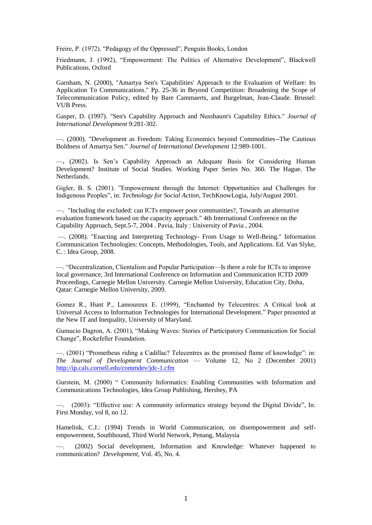Freire, P. (1972). "Pedagogy of the Oppressed", Penguin Books, London

Friedmann, J. (1992), "Empowerment: The Politics of Alternative Development", Blackwell Publications, Oxford

Garnham, N. (2000), "Amartya Sen's 'Capabilities' Approach to the Evaluation of Welfare: Its Application To Communications." Pp. 25-36 in Beyond Competition: Broadening the Scope of Telecommunication Policy, edited by Bare Cammaerts, and Burgelman, Jean-Claude. Brussel: VUB Press.

Gasper, D. (1997). "Sen's Capability Approach and Nussbaum's Capability Ethics." *Journal of International Development* 9:281-302.

—. (2000). "Development as Freedom: Taking Economics beyond Commodities--The Cautious Boldness of Amartya Sen." *Journal of International Development* 12:989-1001.

—**.** (2002). Is Sen's Capability Approach an Adequate Basis for Considering Human Development? Institute of Social Studies. Working Paper Series No. 360. The Hague. The Netherlands.

Gigler, B. S. (2001). "Empowerment through the Internet: Opportunities and Challenges for Indigenous Peoples‖, in: *Technology for Social Action*, TechKnowLogia, July/August 2001.

—. ["Including the excluded: can ICTs empower poor communities?, Towards an alternative](http://explore.georgetown.edu/publications/index.cfm?Action=View&DocumentID=38922)  [evaluation framework based on the capacity approach.](http://explore.georgetown.edu/publications/index.cfm?Action=View&DocumentID=38922)" 4th International Conference on the Capability Approach, Sept.5-7, 2004 . Pavia, Italy : University of Pavia , 2004.

—. (2008). ["Enacting and Interpreting Technology-](http://explore.georgetown.edu/publications/index.cfm?Action=View&DocumentID=38387) From Usage to Well-Being." Information Communication Technologies: Concepts, Methodologies, Tools, and Applications. Ed. Van Slyke, C. : Idea Group, 2008.

—. ―Decentralization, Clientalism and Popular Participation—Is there a role for ICTs to improve local governance, 3rd International Conference on Information and Communication ICTD 2009 Proceedings, Carnegie Mellon University. Carnegie Mellon University, Education City, Doha, Qatar: Carnegie Mellon University, 2009.

Gomez R., Hunt P., Lamoureux E. (1999), "Enchanted by Telecentres: A Critical look at Universal Access to Information Technologies for International Development.‖ Paper presented at the New IT and Inequality, University of Maryland.

Gumucio Dagron, A. (2001), "Making Waves: Stories of Participatory Communication for Social Change", Rockefeller Foundation.

—. (2001) "Prometheus riding a Cadillac? Telecentres as the promised flame of knowledge": in: *The Journal of Development Communication* — Volume 12, No 2 (December 2001) <http://ip.cals.cornell.edu/commdev/jdc-1.cfm>

Gurstein, M. (2000) " Community Informatics: Enabling Communities with Information and Communications Technologies, Idea Group Publishing, Hershey, PA

—. (2003): ―Effective use: A community informatics strategy beyond the Digital Divide‖, In: First Monday, vol 8, no 12.

Hamelink, C.J.: (1994) Trends in World Communication, on disempowerment and selfempowerment, Southbound, Third World Network, Penang, Malaysia

(2002) Social development, Information and Knowledge: Whatever happened to communication? *Development,* Vol. 45, No. 4.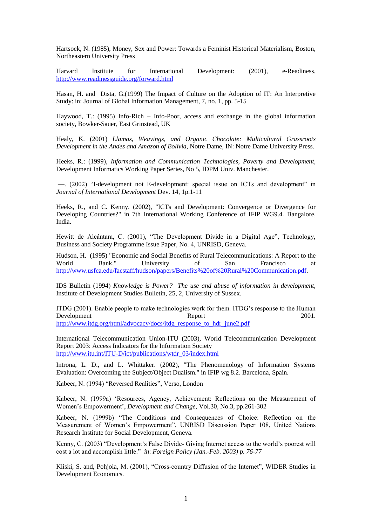Hartsock, N. (1985), Money, Sex and Power: Towards a Feminist Historical Materialism, Boston, Northeastern University Press

Harvard Institute for International Development: (2001), e-Readiness, <http://www.readinessguide.org/forward.html>

Hasan, H. and Dista, G.(1999) The Impact of Culture on the Adoption of IT: An Interpretive Study: in: Journal of Global Information Management, 7, no. 1, pp. 5-15

Haywood, T.: (1995) Info-Rich – Info-Poor, access and exchange in the global information society, Bowker-Sauer, East Grinstead, UK

Healy, K. (2001) *Llamas, Weavings, and Organic Chocolate: Multicultural Grassroots Development in the Andes and Amazon of Bolivia*, Notre Dame, IN: Notre Dame University Press.

Heeks, R.: (1999), *Information and Communication Technologies, Poverty and Development,*  Development Informatics Working Paper Series, No 5, IDPM Univ. Manchester.

—. (2002) ―I-development not E-development: special issue on ICTs and development‖ in *Journal of International Development* Dev. 14, 1p.1-11

Heeks, R., and C. Kenny. (2002), "ICTs and Development: Convergence or Divergence for Developing Countries?" in 7th International Working Conference of IFIP WG9.4. Bangalore, India.

Hewitt de Alcántara, C. (2001), "The Development Divide in a Digital Age", Technology, Business and Society Programme Issue Paper, No. 4, UNRISD, Geneva.

Hudson, H. (1995) "Economic and Social Benefits of Rural Telecommunications: A Report to the World Bank," University of San Francisco at [http://www.usfca.edu/facstaff/hudson/papers/Benefits%20of%20Rural%20Communication.pdf.](http://www.usfca.edu/facstaff/hudson/papers/Benefits%20of%20Rural%20Communication.pdf)

IDS Bulletin (1994) *Knowledge is Power? The use and abuse of information in development,* Institute of Development Studies Bulletin, 25, 2, University of Sussex.

ITDG (2001). Enable people to make technologies work for them. ITDG's response to the Human Development Report 2001. [http://www.itdg.org/html/advocacy/docs/itdg\\_response\\_to\\_hdr\\_june2.pdf](http://www.itdg.org/html/advocacy/docs/itdg_response_to_hdr_june2.pdf)

International Telecommunication Union-ITU (2003), World Telecommunication Development Report 2003: Access Indicators for the Information Society [http://www.itu.int/ITU-D/ict/publications/wtdr\\_03/index.html](http://www.itu.int/ITU-D/ict/publications/wtdr_03/index.html)

Introna, L. D., and L. Whittaker. (2002), "The Phenomenology of Information Systems Evaluation: Overcoming the Subject/Object Dualism." in IFIP wg 8.2. Barcelona, Spain.

Kabeer, N. (1994) "Reversed Realities", Verso, London

Kabeer, N. (1999a) 'Resources, Agency, Achievement: Reflections on the Measurement of Women's Empowerment', *Development and Change*, Vol.30, No.3, pp.261-302

Kabeer, N. (1999b) "The Conditions and Consequences of Choice: Reflection on the Measurement of Women's Empowerment", UNRISD Discussion Paper 108, United Nations Research Institute for Social Development, Geneva.

Kenny, C. (2003) "Development's False Divide- Giving Internet access to the world's poorest will cost a lot and accomplish little." in: *Foreign Policy (Jan.-Feb. 2003) p.* 76-77

Kiiski, S. and, Pohjola, M. (2001), "Cross-country Diffusion of the Internet", WIDER Studies in Development Economics.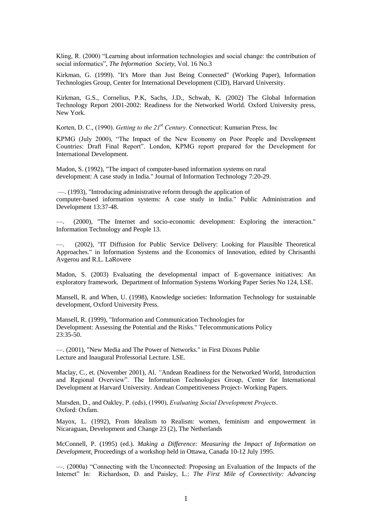Kling, R. (2000) "Learning about information technologies and social change: the contribution of social informatics", *The Information Society*, Vol. 16 No.3

Kirkman, G. (1999). "It's More than Just Being Connected" (Working Paper), Information Technologies Group, Center for International Development (CID), Harvard University.

Kirkman, G.S., Cornelius, P.K, Sachs, J.D., Schwab, K. (2002) The Global Information Technology Report 2001-2002: Readiness for the Networked World. Oxford University press, New York.

Korten, D. C., (1990). *Getting to the 21*st *Century*. Connecticut: Kumarian Press, Inc

KPMG (July 2000), "The Impact of the New Economy on Poor People and Development Countries: Draft Final Report". London, KPMG report prepared for the Development for International Development.

Madon, S. (1992), "The impact of computer-based information systems on rural development: A case study in India." Journal of Information Technology 7:20-29.

—. (1993), "Introducing administrative reform through the application of computer-based information systems: A case study in India." Public Administration and Development 13:37-48.

(2000), "The Internet and socio-economic development: Exploring the interaction." Information Technology and People 13.

(2002), "IT Diffusion for Public Service Delivery: Looking for Plausible Theoretical Approaches." in Information Systems and the Economics of Innovation, edited by Chrisanthi Avgerou and R.L. LaRovere

Madon, S. (2003) Evaluating the developmental impact of E-governance initiatives: An exploratory framework. Department of Information Systems Working Paper Series No 124, LSE.

Mansell, R. and When, U. (1998), Knowledge societies: Information Technology for sustainable development, Oxford University Press.

Mansell, R. (1999), "Information and Communication Technologies for Development: Assessing the Potential and the Risks." Telecommunications Policy 23:35-50.

—. (2001), "New Media and The Power of Networks." in First Dixons Publie Lecture and Inaugural Professorial Lecture. LSE.

Maclay, C*.,* et. (November 2001), Al. *"*Andean Readiness for the Networked World, Introduction and Regional Overview‖. The Information Technologies Group, Center for International Development at Harvard University. Andean Competitiveness Project- Working Papers.

Marsden, D., and Oakley, P. (eds), (1990), *Evaluating Social Development Projects*. Oxford: Oxfam.

Mayox, L. (1992), From Idealism to Realism: women, feminism and empowerment in Nicaraguan, Development and Change 23 (2), The Netherlands

McConnell, P. (1995) (ed.). *Making a Difference: Measuring the Impact of Information on Development*. Proceedings of a workshop held in Ottawa, Canada 10-12 July 1995.

—. (2000a) ―Connecting with the Unconnected: Proposing an Evaluation of the Impacts of the Internet<sup>"</sup> In: Richardson, D. and Paisley, L.: *The First Mile of Connectivity: Advancing*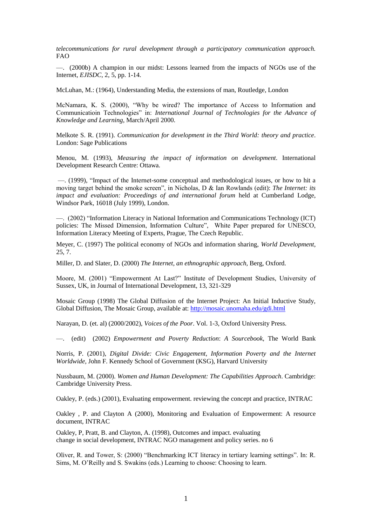*telecommunications for rural development through a participatory communication approach.*  FAO

—. (2000b) A champion in our midst: Lessons learned from the impacts of NGOs use of the Internet, *EJISDC,* 2, 5, pp. 1-14.

McLuhan, M.: (1964), Understanding Media, the extensions of man, Routledge, London

McNamara, K. S. (2000), "Why be wired? The importance of Access to Information and Communicatioin Technologies" in: *International Journal of Technologies for the Advance of Knowledge and Learning*, March/April 2000.

Melkote S. R. (1991). *Communication for development in the Third World: theory and practice*. London: Sage Publications

Menou, M. (1993), *Measuring the impact of information on development*. International Development Research Centre: Ottawa*.*

—. (1999), ―Impact of the Internet-some conceptual and methodological issues, or how to hit a moving target behind the smoke screen", in Nicholas, D & Ian Rowlands (edit): *The Internet: its impact and evaluation: Proceedings of and international forum* held at Cumberland Lodge, Windsor Park, 16018 (July 1999), London.

—. (2002) ―Information Literacy in National Information and Communications Technology (ICT) policies: The Missed Dimension, Information Culture", White Paper prepared for UNESCO, Information Literacy Meeting of Experts, Prague, The Czech Republic.

Meyer, C. (1997) The political economy of NGOs and information sharing, *World Development,*  25, 7.

Miller, D. and Slater, D. (2000) *The Internet, an ethnographic approach,* Berg, Oxford.

Moore, M. (2001) "Empowerment At Last?" Institute of Development Studies, University of Sussex, UK, in Journal of International Development, 13, 321-329

Mosaic Group (1998) The Global Diffusion of the Internet Project: An Initial Inductive Study, Global Diffusion, The Mosaic Group, available at:<http://mosaic.unomaha.edu/gdi.html>

Narayan, D. (et. al) (2000/2002), *Voices of the Poor*. Vol. 1-3, Oxford University Press*.*

—. (edit) (2002) *Empowerment and Poverty Reduction*: *A Sourcebook*, The World Bank

Norris, P. (2001), *Digital Divide: Civic Engagement, Information Poverty and the Internet Worldwide,* John F. Kennedy School of Government (KSG), Harvard University

Nussbaum, M. (2000). *Women and Human Development: The Capabilities Approach*. Cambridge: Cambridge University Press.

Oakley, P. (eds.) (2001), Evaluating empowerment. reviewing the concept and practice, INTRAC

Oakley , P. and Clayton A (2000), Monitoring and Evaluation of Empowerment: A resource document, INTRAC

Oakley, P, Pratt, B. and Clayton, A. (1998), Outcomes and impact. evaluating change in social development, INTRAC NGO management and policy series. no 6

Oliver, R. and Tower, S: (2000) "Benchmarking ICT literacy in tertiary learning settings". In: R. Sims, M. O'Reilly and S. Swakins (eds.) Learning to choose: Choosing to learn.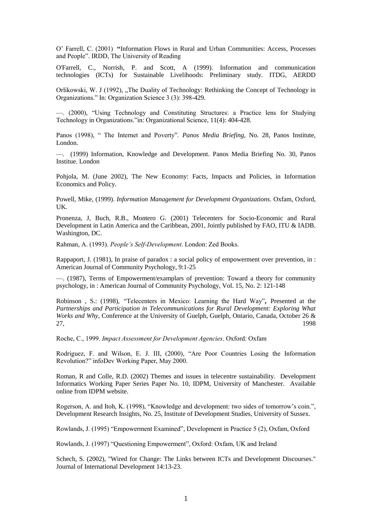O' Farrell, C. (2001) **"**Information Flows in Rural and Urban Communities: Access, Processes and People". IRDD, The University of Reading

O'Farrell, C., Norrish, P. and Scott, A (1999). Information and communication technologies (ICTs) for Sustainable Livelihoods: Preliminary study. ITDG, AERDD

Orlikowski, W. J (1992), "The Duality of Technology: Rethinking the Concept of Technology in Organizations.‖ In: Organization Science 3 (3): 398-429.

—. (2000), ―Using Technology and Constituting Structures: a Practice lens for Studying Technology in Organizations."in: Organizational Science, 11(4): 404-428.

Panos (1998), " The Internet and Poverty". *Panos Media Briefing*, No. 28, Panos Institute, London.

—. (1999) Information, Knowledge and Development. Panos Media Briefing No. 30, Panos Institue. London

Pohjola, M. (June 2002), The New Economy: Facts, Impacts and Policies, in Information Economics and Policy.

Powell, Mike, (1999). *Information Management for Development Organizations*. Oxfam, Oxford, UK.

Pronenza, J, Buch, R.B., Montero G. (2001) Telecenters for Socio-Economic and Rural Development in Latin America and the Caribbean, 2001, Jointly published by FAO, ITU & IADB. Washington, DC.

Rahman, A. (1993). *People's Self-Development*. London: Zed Books.

Rappaport, J. (1981), In praise of paradox : a social policy of empowerment over prevention, in : American Journal of Community Psychology, 9:1-25

—. (1987), Terms of Empowerment/examplars of prevention: Toward a theory for community psychology, in : American Journal of Community Psychology, Vol. 15, No. 2: 121-148

Robinson, S.: (1998), "Telecenters in Mexico: Learning the Hard Way", Presented at the *Partnerships and Participation in Telecommunications for Rural Development: Exploring What Works and Why,* Conference at the University of Guelph, Guelph, Ontario, Canada, October 26 & 27, 1998

Roche, C., 1999. *Impact Assessment for Development Agencies*. Oxford: Oxfam

Rodriguez, F. and Wilson, E. J. III, (2000), "Are Poor Countries Losing the Information Revolution?" infoDev Working Paper, May 2000.

Roman, R and Colle, R.D. (2002) Themes and issues in telecentre sustainability. Development Informatics Working Paper Series Paper No. 10, IDPM, University of Manchester. Available online from IDPM website.

Rogerson, A. and Itoh, K. (1998), "Knowledge and development: two sides of tomorrow's coin.", Development Research Insights, No. 25, Institute of Development Studies, University of Sussex.

Rowlands, J. (1995) "Empowerment Examined", Development in Practice 5 (2), Oxfam, Oxford

Rowlands, J. (1997) "Questioning Empowerment", Oxford: Oxfam, UK and Ireland

Schech, S. (2002), "Wired for Change: The Links between ICTs and Development Discourses." Journal of International Development 14:13-23.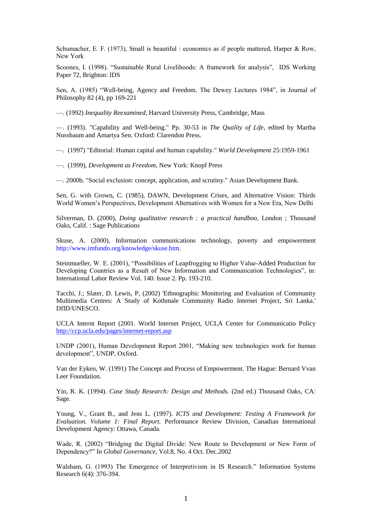Schumacher, E. F. (1973), Small is beautiful : economics as if people mattered, Harper & Row, New York

Scoones, I. (1998). "Sustainable Rural Livelihoods: A framework for analysis". IDS Working Paper 72, Brighton: IDS

Sen, A. (1985) "Well-being, Agency and Freedom. The Dewey Lectures 1984", in Journal of Philosophy 82 (4), pp 169-221

—. (1992) *Inequality Reexamined,* Harvard University Press, Cambridge, Mass

—. (1993). "Capability and Well-being." Pp. 30-53 in *The Quality of Life*, edited by Martha Nussbaum and Amartya Sen. Oxford: Clarendon Press.

—. (1997) "Editorial: Human capital and human capability." *World Development* 25:1959-1961

—. (1999), *Development as Freedom*, New York: Knopf Press

—. 2000b. "Social exclusion: concept, application, and scrutiny." Asian Development Bank.

Sen, G. with Grown, C. (1985), DAWN, Development Crises, and Alternative Vision: Thirds World Women's Perspectives, Development Alternatives with Women for a New Era, New Delhi

Silverman, D. (2000), *Doing qualitative research : a practical handboo,* London ; Thousand Oaks, Calif. : Sage Publications

Skuse, A. (2000), Information communications technology, poverty and empowerment http://www.imfundo.org/knowledge/skuse.htm.

Steinmueller, W. E. (2001), "Possibilities of Leapfrogging to Higher Value-Added Production for Developing Countries as a Result of New Information and Communication Technologies", in: International Labor Review Vol. 140. Issue 2. Pp. 193-210.

Tacchi, J.; Slater, D. Lewis, P, (2002) 'Ethnographic Monitoring and Evaluation of Community Multimedia Centres: A Study of Kothmale Community Radio Internet Project, Sri Lanka.' DfID/UNESCO.

UCLA Internt Report (2001. World Internet Project, UCLA Center for Communicatio Policy <http://ccp.ucla.edu/pages/internet-report.asp>

UNDP (2001), Human Development Report 2001, "Making new technologies work for human development", UNDP, Oxford.

Van der Eyken, W. (1991) The Concept and Process of Empowerment. The Hague: Bernard Vvan Leer Foundation.

Yin, R. K. (1994). *Case Study Research: Design and Methods.* (2nd ed.) Thousand Oaks, CA: Sage.

Young, V., Grant B., and Jens L. (1997). *ICTS and Development: Testing A Framework for Evaluation. Volume 1: Final Report.* Performance Review Division, Canadian International Development Agency: Ottawa, Canada.

Wade, R. (2002) "Bridging the Digital Divide: New Route to Development or New Form of Dependency?‖ In *Global Governance*, Vol.8, No. 4 Oct. Dec.2002

Walsham, G. (1993) The Emergence of Interpretivism in IS Research." Information Systems Research 6(4): 376-394.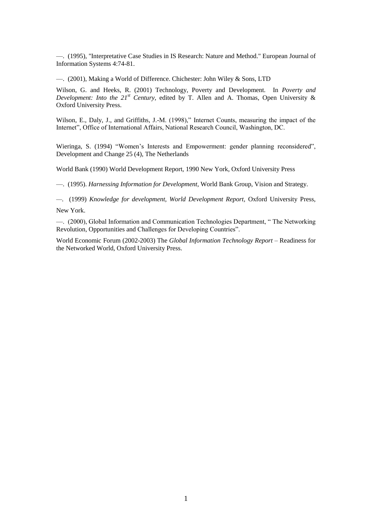—. (1995), "Interpretative Case Studies in IS Research: Nature and Method." European Journal of Information Systems 4:74-81.

—. (2001), Making a World of Difference. Chichester: John Wiley & Sons, LTD

Wilson, G. and Heeks, R. (2001) Technology, Poverty and Development. In *Poverty and Development: Into the 21<sup>st</sup> Century, edited by T. Allen and A. Thomas, Open University &* Oxford University Press.

Wilson, E., Daly, J., and Griffiths, J.-M. (1998)," Internet Counts, measuring the impact of the Internet", Office of International Affairs, National Research Council, Washington, DC.

Wieringa, S. (1994) "Women's Interests and Empowerment: gender planning reconsidered", Development and Change 25 (4), The Netherlands

World Bank (1990) World Development Report, 1990 New York, Oxford University Press

—. (1995). *Harnessing Information for Development*, World Bank Group, Vision and Strategy.

*—.* (1999) *Knowledge for development, World Development Report,* Oxford University Press, New York.

—. (2000), Global Information and Communication Technologies Department, ― The Networking Revolution, Opportunities and Challenges for Developing Countries".

World Economic Forum (2002-2003) The *Global Information Technology Report* – Readiness for the Networked World, Oxford University Press.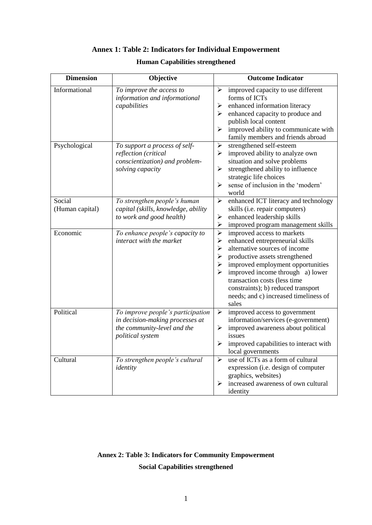## **Annex 1: Table 2: Indicators for Individual Empowerment**

| <b>Dimension</b>          | Objective                                                                                                               | <b>Outcome Indicator</b>                                                                                                                                                                                                                                                                                                                                        |
|---------------------------|-------------------------------------------------------------------------------------------------------------------------|-----------------------------------------------------------------------------------------------------------------------------------------------------------------------------------------------------------------------------------------------------------------------------------------------------------------------------------------------------------------|
| Informational             | To improve the access to<br>information and informational<br>capabilities                                               | improved capacity to use different<br>➤<br>forms of ICTs<br>enhanced information literacy<br>➤<br>enhanced capacity to produce and<br>➤<br>publish local content<br>improved ability to communicate with<br>➤<br>family members and friends abroad                                                                                                              |
| Psychological             | To support a process of self-<br>reflection (critical<br>conscientization) and problem-<br>solving capacity             | strengthened self-esteem<br>➤<br>improved ability to analyze own<br>➤<br>situation and solve problems<br>strengthened ability to influence<br>➤<br>strategic life choices<br>sense of inclusion in the 'modern'<br>≻<br>world                                                                                                                                   |
| Social<br>(Human capital) | To strengthen people's human<br>capital (skills, knowledge, ability<br>to work and good health)                         | enhanced ICT literacy and technology<br>$\blacktriangleright$<br>skills (i.e. repair computers)<br>enhanced leadership skills<br>➤<br>$\blacktriangleright$<br>improved program management skills                                                                                                                                                               |
| Economic                  | To enhance people's capacity to<br>interact with the market                                                             | improved access to markets<br>➤<br>enhanced entrepreneurial skills<br>➤<br>alternative sources of income<br>➤<br>➤<br>productive assets strengthened<br>improved employment opportunities<br>➤<br>improved income through a) lower<br>➤<br>transaction costs (less time<br>constraints); b) reduced transport<br>needs; and c) increased timeliness of<br>sales |
| Political                 | To improve people's participation<br>in decision-making processes at<br>the community-level and the<br>political system | $\blacktriangleright$<br>improved access to government<br>information/services (e-government)<br>➤<br>improved awareness about political<br>issues<br>➤<br>improved capabilities to interact with<br>local governments                                                                                                                                          |
| Cultural                  | To strengthen people's cultural<br>identity                                                                             | $\blacktriangleright$<br>use of ICTs as a form of cultural<br>expression (i.e. design of computer<br>graphics, websites)<br>increased awareness of own cultural<br>≻<br>identity                                                                                                                                                                                |

### **Human Capabilities strengthened**

# **Annex 2: Table 3: Indicators for Community Empowerment Social Capabilities strengthened**